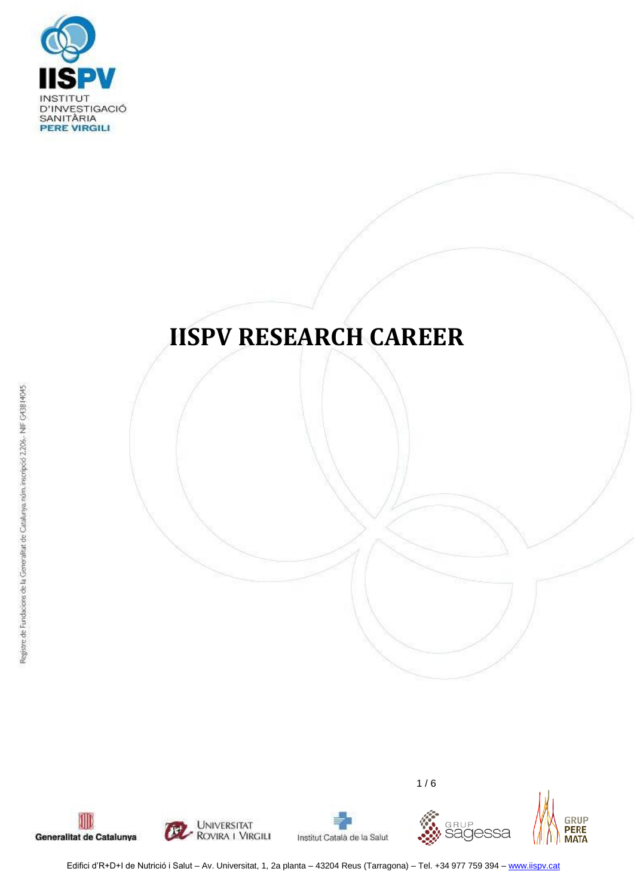

# **IISPV RESEARCH CAREER**





Institut Català de la Salut



 $1/6$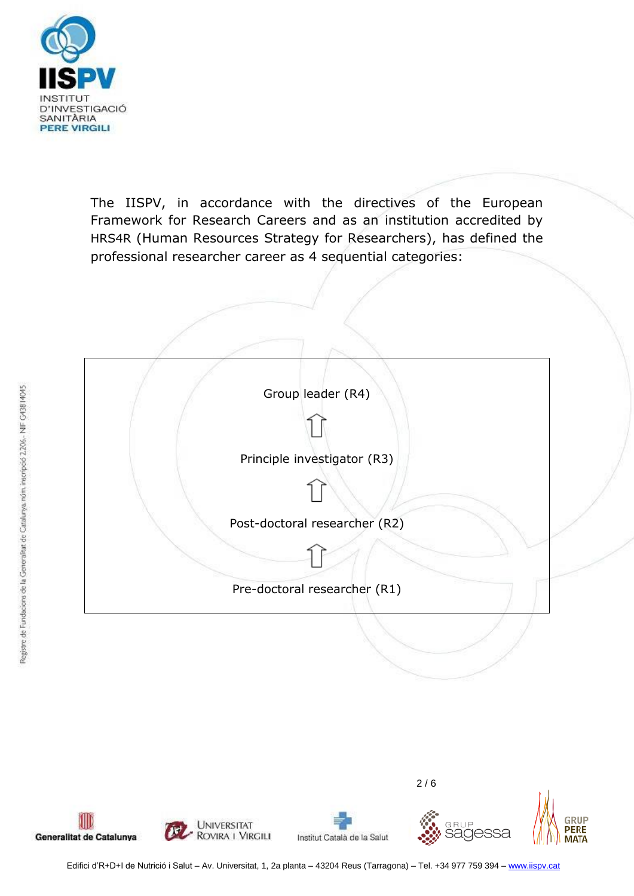

The IISPV, in accordance with the directives of the European Framework for Research Careers and as an institution accredited by HRS4R (Human Resources Strategy for Researchers), has defined the professional researcher career as 4 sequential categories:



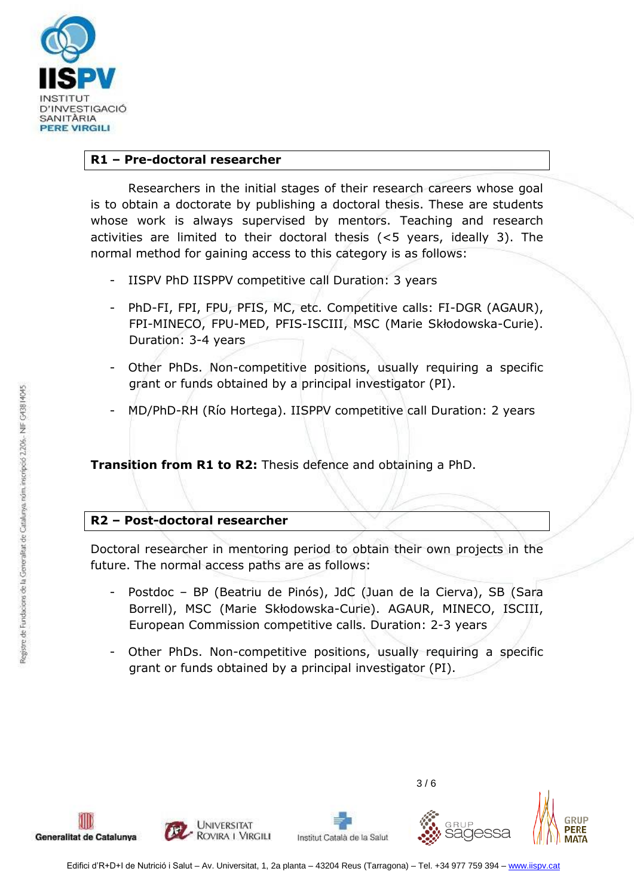

#### **R1 – Pre-doctoral researcher**

Researchers in the initial stages of their research careers whose goal is to obtain a doctorate by publishing a doctoral thesis. These are students whose work is always supervised by mentors. Teaching and research activities are limited to their doctoral thesis (<5 years, ideally 3). The normal method for gaining access to this category is as follows:

- IISPV PhD IISPPV competitive call Duration: 3 years
- PhD-FI, FPI, FPU, PFIS, MC, etc. Competitive calls: FI-DGR (AGAUR), FPI-MINECO, FPU-MED, PFIS-ISCIII, MSC (Marie Skłodowska-Curie). Duration: 3-4 years
- Other PhDs. Non-competitive positions, usually requiring a specific grant or funds obtained by a principal investigator (PI).
- MD/PhD-RH (Río Hortega). IISPPV competitive call Duration: 2 years

**Transition from R1 to R2:** Thesis defence and obtaining a PhD.

# **R2 – Post-doctoral researcher**

Doctoral researcher in mentoring period to obtain their own projects in the future. The normal access paths are as follows:

- Postdoc BP (Beatriu de Pinós), JdC (Juan de la Cierva), SB (Sara Borrell), MSC (Marie Skłodowska-Curie). AGAUR, MINECO, ISCIII, European Commission competitive calls. Duration: 2-3 years
- Other PhDs. Non-competitive positions, usually requiring a specific grant or funds obtained by a principal investigator (PI).







 $3/6$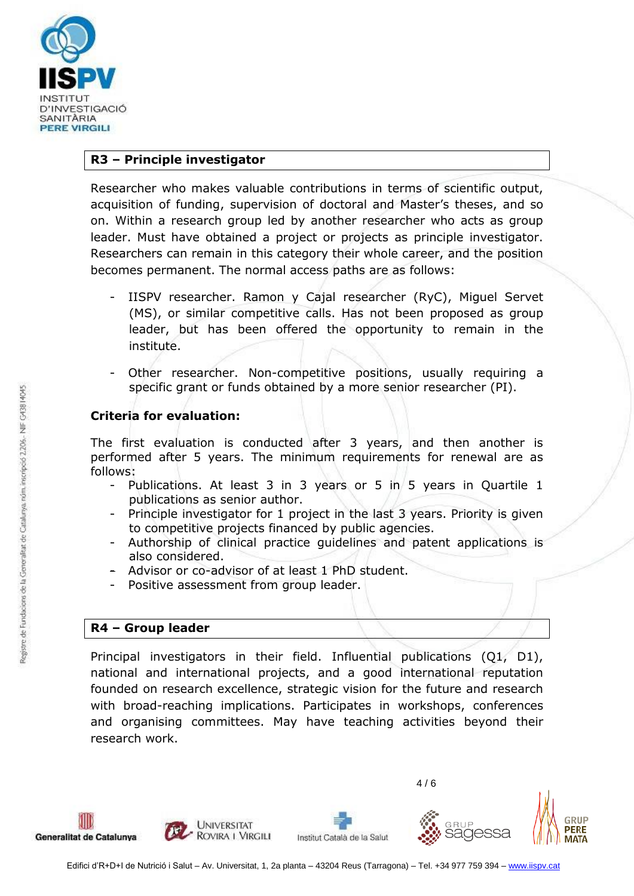

#### **R3 – Principle investigator**

Researcher who makes valuable contributions in terms of scientific output, acquisition of funding, supervision of doctoral and Master's theses, and so on. Within a research group led by another researcher who acts as group leader. Must have obtained a project or projects as principle investigator. Researchers can remain in this category their whole career, and the position becomes permanent. The normal access paths are as follows:

- IISPV researcher. Ramon y Cajal researcher (RyC), Miguel Servet (MS), or similar competitive calls. Has not been proposed as group leader, but has been offered the opportunity to remain in the institute.
- Other researcher. Non-competitive positions, usually requiring a specific grant or funds obtained by a more senior researcher (PI).

#### **Criteria for evaluation:**

The first evaluation is conducted after 3 years, and then another is performed after 5 years. The minimum requirements for renewal are as follows:

- Publications. At least 3 in 3 years or 5 in 5 years in Quartile 1 publications as senior author.
- Principle investigator for 1 project in the last 3 years. Priority is given to competitive projects financed by public agencies.
- Authorship of clinical practice guidelines and patent applications is also considered.
- Advisor or co-advisor of at least 1 PhD student.
- Positive assessment from group leader.

# **R4 – Group leader**

Principal investigators in their field. Influential publications (Q1, D1), national and international projects, and a good international reputation founded on research excellence, strategic vision for the future and research with broad-reaching implications. Participates in workshops, conferences and organising committees. May have teaching activities beyond their research work.



4 / 6



**RIID** 

**PERE**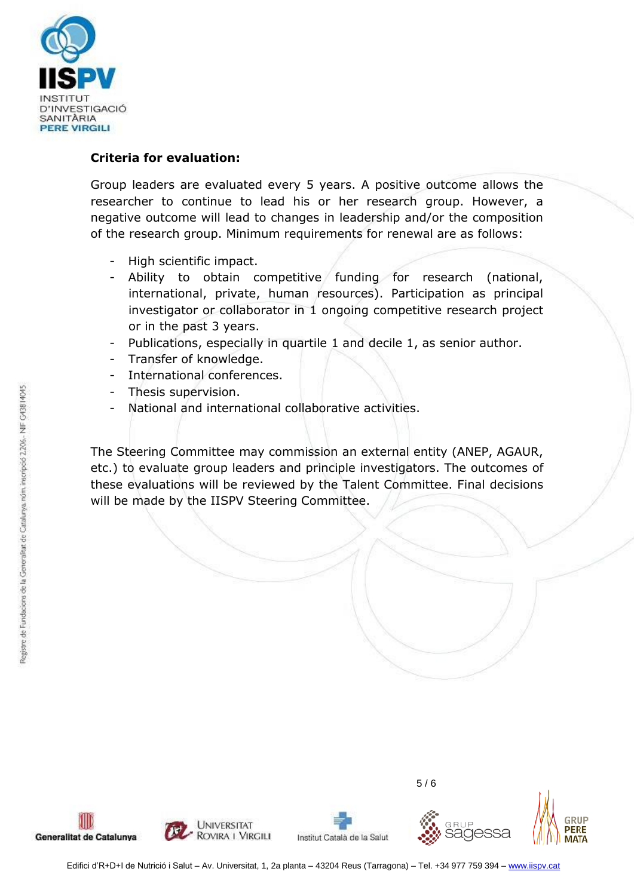

# **Criteria for evaluation:**

Group leaders are evaluated every 5 years. A positive outcome allows the researcher to continue to lead his or her research group. However, a negative outcome will lead to changes in leadership and/or the composition of the research group. Minimum requirements for renewal are as follows:

- High scientific impact.
- Ability to obtain competitive funding for research (national, international, private, human resources). Participation as principal investigator or collaborator in 1 ongoing competitive research project or in the past 3 years.
- Publications, especially in quartile 1 and decile 1, as senior author.
- Transfer of knowledge.
- International conferences.
- Thesis supervision.
- National and international collaborative activities.

The Steering Committee may commission an external entity (ANEP, AGAUR, etc.) to evaluate group leaders and principle investigators. The outcomes of these evaluations will be reviewed by the Talent Committee. Final decisions will be made by the IISPV Steering Committee.





Institut Català de la Salut



5 / 6